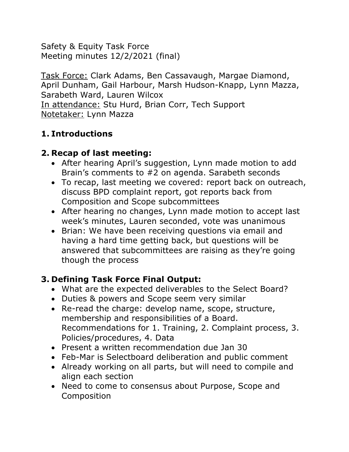Safety & Equity Task Force Meeting minutes 12/2/2021 (final)

Task Force: Clark Adams, Ben Cassavaugh, Margae Diamond, April Dunham, Gail Harbour, Marsh Hudson-Knapp, Lynn Mazza, Sarabeth Ward, Lauren Wilcox In attendance: Stu Hurd, Brian Corr, Tech Support Notetaker: Lynn Mazza

### **1. Introductions**

### **2. Recap of last meeting:**

- After hearing April's suggestion, Lynn made motion to add Brain's comments to #2 on agenda. Sarabeth seconds
- To recap, last meeting we covered: report back on outreach, discuss BPD complaint report, got reports back from Composition and Scope subcommittees
- After hearing no changes, Lynn made motion to accept last week's minutes, Lauren seconded, vote was unanimous
- Brian: We have been receiving questions via email and having a hard time getting back, but questions will be answered that subcommittees are raising as they're going though the process

# **3. Defining Task Force Final Output:**

- What are the expected deliverables to the Select Board?
- Duties & powers and Scope seem very similar
- Re-read the charge: develop name, scope, structure, membership and responsibilities of a Board. Recommendations for 1. Training, 2. Complaint process, 3. Policies/procedures, 4. Data
- Present a written recommendation due Jan 30
- Feb-Mar is Selectboard deliberation and public comment
- Already working on all parts, but will need to compile and align each section
- Need to come to consensus about Purpose, Scope and Composition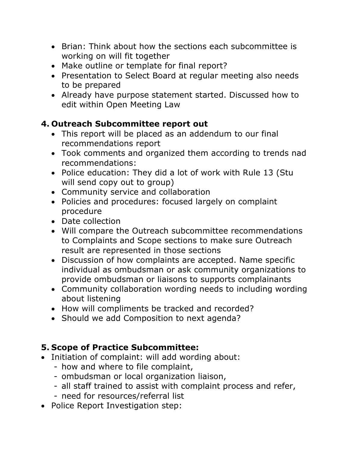- Brian: Think about how the sections each subcommittee is working on will fit together
- Make outline or template for final report?
- Presentation to Select Board at regular meeting also needs to be prepared
- Already have purpose statement started. Discussed how to edit within Open Meeting Law

#### **4. Outreach Subcommittee report out**

- This report will be placed as an addendum to our final recommendations report
- Took comments and organized them according to trends nad recommendations:
- Police education: They did a lot of work with Rule 13 (Stu will send copy out to group)
- Community service and collaboration
- Policies and procedures: focused largely on complaint procedure
- Date collection
- Will compare the Outreach subcommittee recommendations to Complaints and Scope sections to make sure Outreach result are represented in those sections
- Discussion of how complaints are accepted. Name specific individual as ombudsman or ask community organizations to provide ombudsman or liaisons to supports complainants
- Community collaboration wording needs to including wording about listening
- How will compliments be tracked and recorded?
- Should we add Composition to next agenda?

# **5. Scope of Practice Subcommittee:**

- Initiation of complaint: will add wording about:
	- how and where to file complaint,
	- ombudsman or local organization liaison,
	- all staff trained to assist with complaint process and refer,
	- need for resources/referral list
- Police Report Investigation step: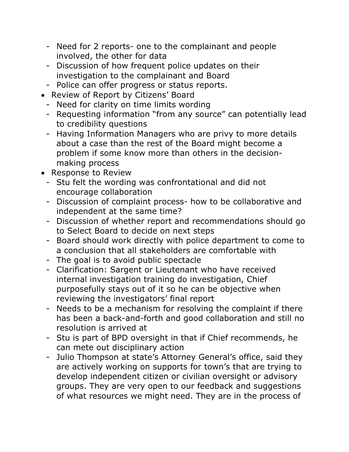- Need for 2 reports- one to the complainant and people involved, the other for data
- Discussion of how frequent police updates on their investigation to the complainant and Board
- Police can offer progress or status reports.
- Review of Report by Citizens' Board
	- Need for clarity on time limits wording
	- Requesting information "from any source" can potentially lead to credibility questions
	- Having Information Managers who are privy to more details about a case than the rest of the Board might become a problem if some know more than others in the decisionmaking process
- Response to Review
	- Stu felt the wording was confrontational and did not encourage collaboration
	- Discussion of complaint process- how to be collaborative and independent at the same time?
	- Discussion of whether report and recommendations should go to Select Board to decide on next steps
	- Board should work directly with police department to come to a conclusion that all stakeholders are comfortable with
	- The goal is to avoid public spectacle
	- Clarification: Sargent or Lieutenant who have received internal investigation training do investigation, Chief purposefully stays out of it so he can be objective when reviewing the investigators' final report
	- Needs to be a mechanism for resolving the complaint if there has been a back-and-forth and good collaboration and still no resolution is arrived at
	- Stu is part of BPD oversight in that if Chief recommends, he can mete out disciplinary action
	- Julio Thompson at state's Attorney General's office, said they are actively working on supports for town's that are trying to develop independent citizen or civilian oversight or advisory groups. They are very open to our feedback and suggestions of what resources we might need. They are in the process of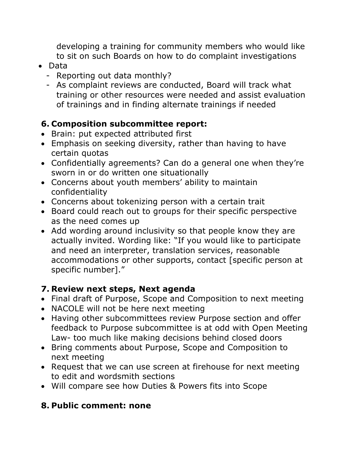developing a training for community members who would like to sit on such Boards on how to do complaint investigations

- Data
	- Reporting out data monthly?
	- As complaint reviews are conducted, Board will track what training or other resources were needed and assist evaluation of trainings and in finding alternate trainings if needed

#### **6. Composition subcommittee report:**

- Brain: put expected attributed first
- Emphasis on seeking diversity, rather than having to have certain quotas
- Confidentially agreements? Can do a general one when they're sworn in or do written one situationally
- Concerns about youth members' ability to maintain confidentiality
- Concerns about tokenizing person with a certain trait
- Board could reach out to groups for their specific perspective as the need comes up
- Add wording around inclusivity so that people know they are actually invited. Wording like: "If you would like to participate and need an interpreter, translation services, reasonable accommodations or other supports, contact [specific person at specific number]."

#### **7. Review next steps, Next agenda**

- Final draft of Purpose, Scope and Composition to next meeting
- NACOLE will not be here next meeting
- Having other subcommittees review Purpose section and offer feedback to Purpose subcommittee is at odd with Open Meeting Law- too much like making decisions behind closed doors
- Bring comments about Purpose, Scope and Composition to next meeting
- Request that we can use screen at firehouse for next meeting to edit and wordsmith sections
- Will compare see how Duties & Powers fits into Scope

# **8. Public comment: none**